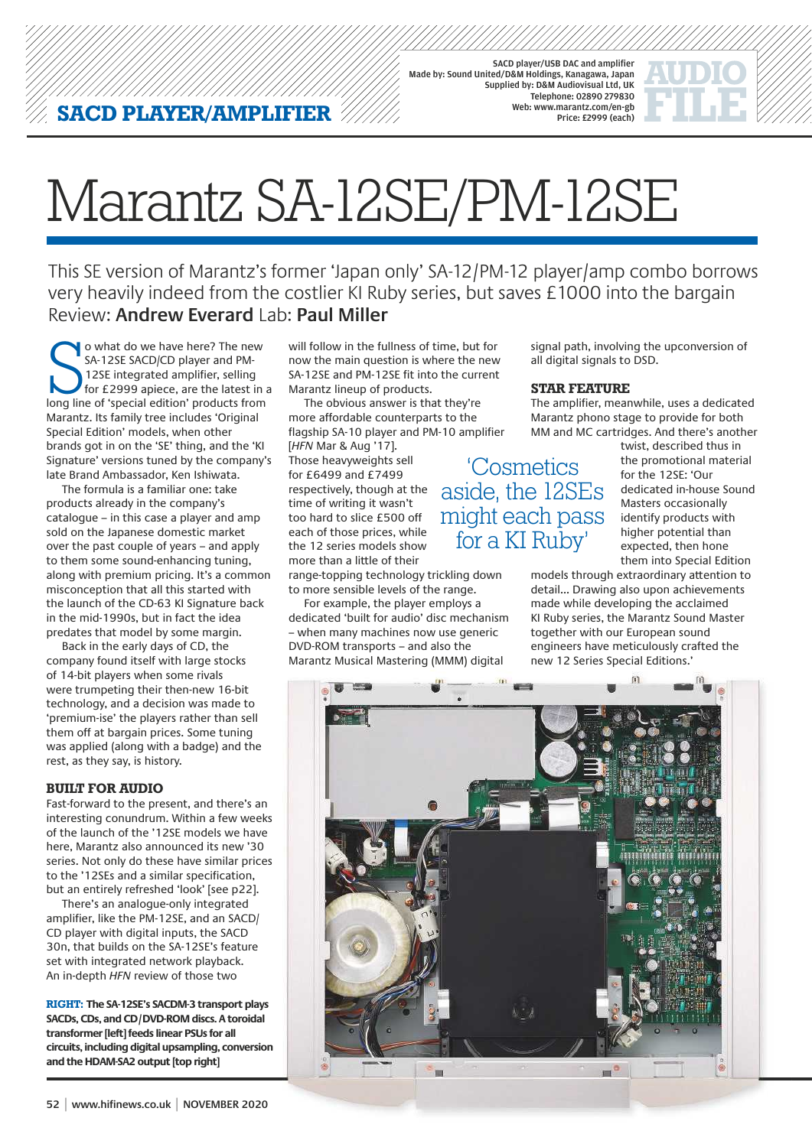SACD player/USB DAC and amplifier Made by: Sound United/D&M Holdings, Kanagawa, Japan Supplied by: D&M Audiovisual Ltd, UK Telephone: 02890 279830 Web: www.marantz.com/en-gb Price: £2999 (each)

# Marantz SA-12SE/PM-12SE

This SE version of Marantz's former 'Japan only' SA-12/PM-12 player/amp combo borrows very heavily indeed from the costlier KI Ruby series, but saves £1000 into the bargain Review: **Andrew Everard** Lab: **Paul Miller**

O what do we have here? The new<br>SA-12SE SACD/CD player and PM-<br>12SE integrated amplifier, selling<br>for £2999 apiece, are the latest in a<br>long line of 'special edition' products from o what do we have here? The new SA-12SE SACD/CD player and PM-12SE integrated amplifier, selling for £2999 apiece, are the latest in a Marantz. Its family tree includes 'Original Special Edition' models, when other brands got in on the 'SE' thing, and the 'KI Signature' versions tuned by the company's late Brand Ambassador, Ken Ishiwata.

The formula is a familiar one: take products already in the company's catalogue – in this case a player and amp sold on the Japanese domestic market over the past couple of years – and apply to them some sound-enhancing tuning, along with premium pricing. It's a common misconception that all this started with the launch of the CD-63 KI Signature back in the mid-1990s, but in fact the idea predates that model by some margin.

Back in the early days of CD, the company found itself with large stocks of 14-bit players when some rivals were trumpeting their then-new 16-bit technology, and a decision was made to 'premium-ise' the players rather than sell them off at bargain prices. Some tuning was applied (along with a badge) and the rest, as they say, is history.

#### **BUILT FOR AUDIO**

Fast-forward to the present, and there's an interesting conundrum. Within a few weeks of the launch of the '12SE models we have here, Marantz also announced its new '30 series. Not only do these have similar prices to the '12SEs and a similar specification, but an entirely refreshed 'look' [see p22].

There's an analogue-only integrated amplifier, like the PM-12SE, and an SACD/ CD player with digital inputs, the SACD 30n, that builds on the SA-12SE's feature set with integrated network playback. An in-depth HFN review of those two

**RIGHT: The SA-12SE's SACDM-3 transport plays SACDs, CDs, and CD/DVD-ROM discs. A toroidal transformer [left] feeds linear PSUs for all circuits, including digital upsampling, conversion and the HDAM-SA2 output [top right]**

will follow in the fullness of time, but for now the main question is where the new SA-12SE and PM-12SE fit into the current Marantz lineup of products.

The obvious answer is that they're more affordable counterparts to the flagship SA-10 player and PM-10 amplifier [HFN Mar & Aug '17].

Those heavyweights sell for £6499 and £7499 respectively, though at the time of writing it wasn't too hard to slice £500 off each of those prices, while the 12 series models show more than a little of their

range-topping technology trickling down to more sensible levels of the range.

For example, the player employs a dedicated 'built for audio' disc mechanism – when many machines now use generic DVD-ROM transports – and also the Marantz Musical Mastering (MMM) digital

signal path, involving the upconversion of all digital signals to DSD.

### **STAR FEATURE**

'Cosmetics aside, the 12SEs might each pass for a KI Ruby'

The amplifier, meanwhile, uses a dedicated Marantz phono stage to provide for both MM and MC cartridges. And there's another

> twist, described thus in the promotional material for the 12SE: 'Our dedicated in-house Sound Masters occasionally identify products with higher potential than expected, then hone them into Special Edition

models through extraordinary attention to detail... Drawing also upon achievements made while developing the acclaimed KI Ruby series, the Marantz Sound Master together with our European sound engineers have meticulously crafted the new 12 Series Special Editions.'

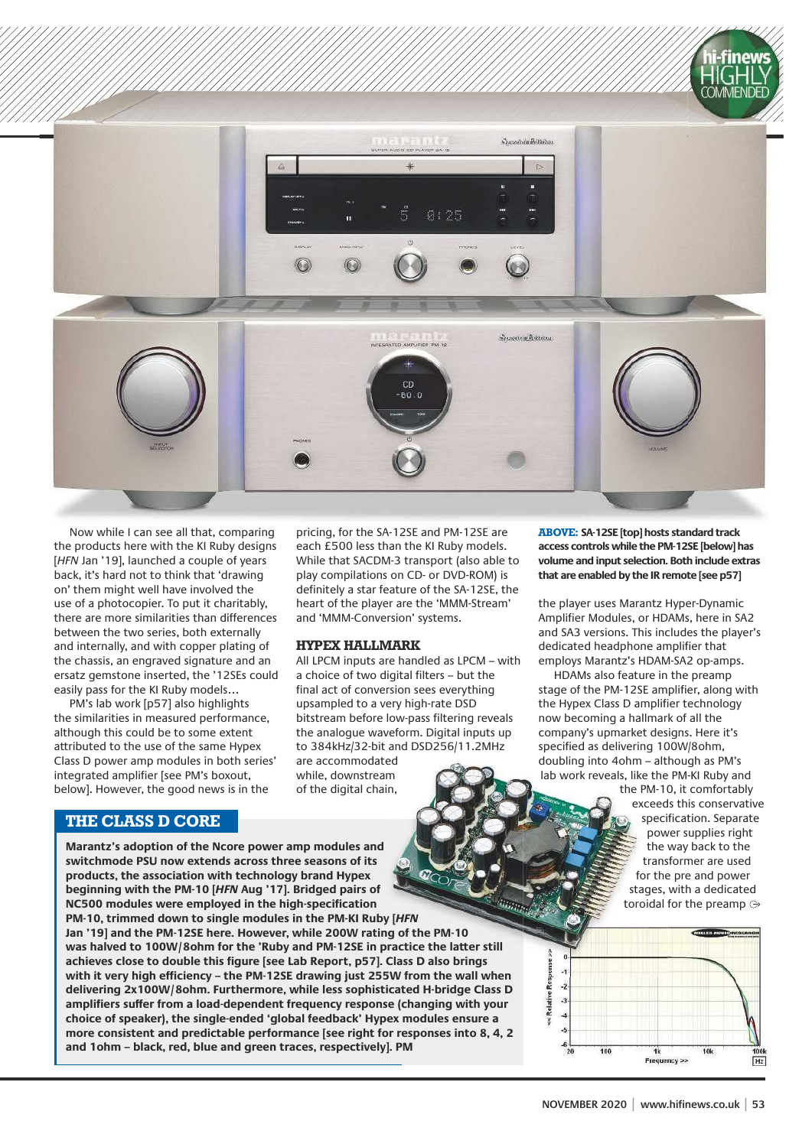

Now while I can see all that, comparing the products here with the KI Ruby designs [HFN Jan '19], launched a couple of years back, it's hard not to think that 'drawing on' them might well have involved the use of a photocopier. To put it charitably, there are more similarities than differences between the two series, both externally and internally, and with copper plating of the chassis, an engraved signature and an ersatz gemstone inserted, the '12SEs could easily pass for the KI Ruby models…

PM's lab work [p57] also highlights the similarities in measured performance, although this could be to some extent attributed to the use of the same Hypex Class D power amp modules in both series' integrated amplifier [see PM's boxout, below]. However, the good news is in the

**Marantz's adoption of the Ncore power amp modules and** 

## **THE CLASS D CORE**

pricing, for the SA-12SE and PM-12SE are each £500 less than the KI Ruby models. While that SACDM-3 transport (also able to play compilations on CD- or DVD-ROM) is definitely a star feature of the SA-12SE, the heart of the player are the 'MMM-Stream' and 'MMM-Conversion' systems.

#### **HYPEX HALLMARK**

All LPCM inputs are handled as LPCM – with a choice of two digital filters - but the final act of conversion sees everything upsampled to a very high-rate DSD bitstream before low-pass filtering reveals the analogue waveform. Digital inputs up to 384kHz/32-bit and DSD256/11.2MHz are accommodated

while, downstream of the digital chain, **ABOVE: SA-12SE [top] hosts standard track access controls while the PM-12SE [below] has volume and input selection. Both include extras that are enabled by the IR remote [see p57]**

the player uses Marantz Hyper-Dynamic Amplifier Modules, or HDAMs, here in SA2 and SA3 versions. This includes the player's dedicated headphone amplifier that employs Marantz's HDAM-SA2 op-amps.

HDAMs also feature in the preamp stage of the PM-12SE amplifier, along with the Hypex Class D amplifier technology now becoming a hallmark of all the company's upmarket designs. Here it's specified as delivering 100W/8ohm, doubling into 4ohm – although as PM's lab work reveals, like the PM-KI Ruby and

the PM-10, it comfortably exceeds this conservative specification. Separate power supplies right the way back to the transformer are used for the pre and power stages, with a dedicated toroidal for the preamp



**switchmode PSU now extends across three seasons of its products, the association with technology brand Hypex beginning with the PM-10 [HFN Aug '17]. Bridged pairs of NC500 modules were employed in the high-specifi cation PM-10, trimmed down to single modules in the PM-KI Ruby [HFN Jan '19] and the PM-12SE here. However, while 200W rating of the PM-10 was halved to 100W/8ohm for the 'Ruby and PM-12SE in practice the latter still achieves close to double this fi gure [see Lab Report, p57]. Class D also brings**  with it very high efficiency – the PM-12SE drawing just 255W from the wall when **delivering 2x100W/8ohm. Furthermore, while less sophisticated H-bridge Class D amplifi ers suffer from a load-dependent frequency response (changing with your choice of speaker), the single-ended 'global feedback' Hypex modules ensure a more consistent and predictable performance [see right for responses into 8, 4, 2 and 1ohm – black, red, blue and green traces, respectively]. PM**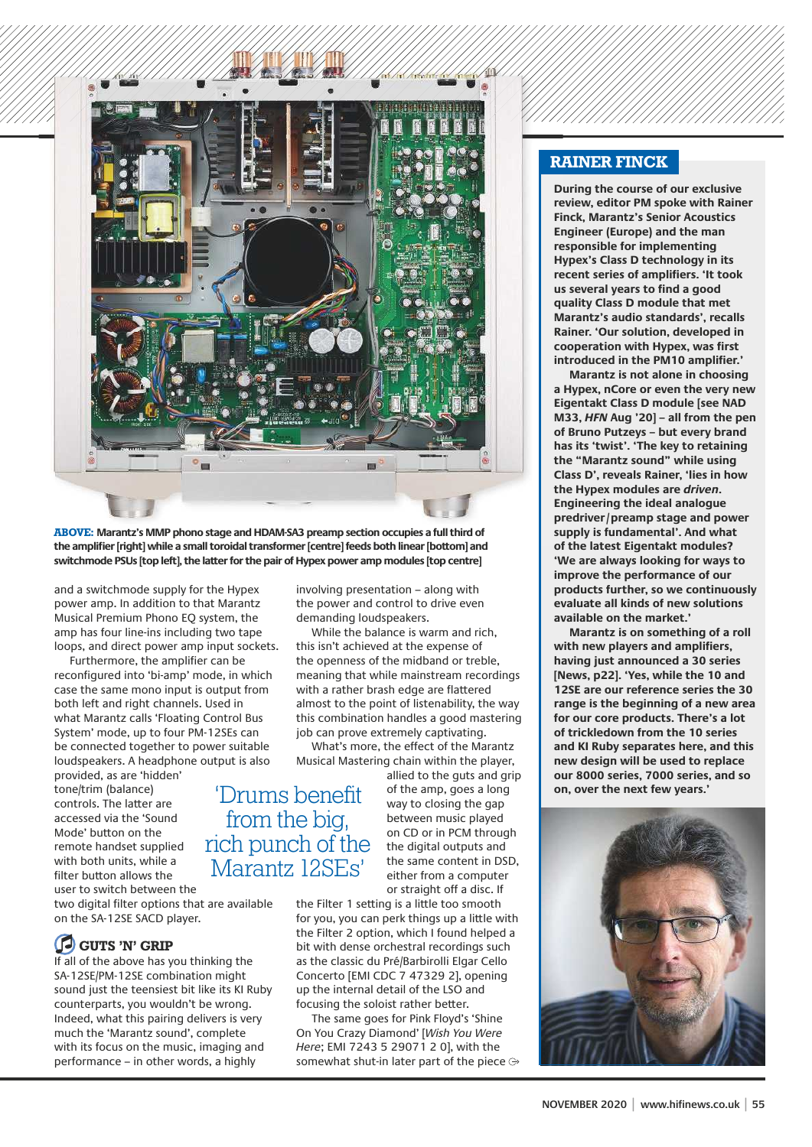

**ABOVE: Marantz's MMP phono stage and HDAM-SA3 preamp section occupies a full third of the amplifi er [right] while a small toroidal transformer [centre] feeds both linear [bottom] and switchmode PSUs [top left], the latter for the pair of Hypex power amp modules [top centre]**

and a switchmode supply for the Hypex power amp. In addition to that Marantz Musical Premium Phono EQ system, the amp has four line-ins including two tape loops, and direct power amp input sockets.

Furthermore, the amplifier can be reconfigured into 'bi-amp' mode, in which case the same mono input is output from both left and right channels. Used in what Marantz calls 'Floating Control Bus System' mode, up to four PM-12SEs can be connected together to power suitable loudspeakers. A headphone output is also

provided, as are 'hidden' tone/trim (balance) controls. The latter are accessed via the 'Sound Mode' button on the remote handset supplied with both units, while a filter button allows the user to switch between the

two digital filter options that are available on the SA-12SE SACD player.

# **GUTS 'N' GRIP**

If all of the above has you thinking the SA-12SE/PM-12SE combination might sound just the teensiest bit like its KI Ruby counterparts, you wouldn't be wrong. Indeed, what this pairing delivers is very much the 'Marantz sound', complete with its focus on the music, imaging and performance – in other words, a highly

involving presentation – along with the power and control to drive even demanding loudspeakers.

While the balance is warm and rich. this isn't achieved at the expense of the openness of the midband or treble, meaning that while mainstream recordings with a rather brash edge are flattered almost to the point of listenability, the way this combination handles a good mastering job can prove extremely captivating.

What's more, the effect of the Marantz Musical Mastering chain within the player,

'Drums benefit from the big, rich punch of the Marantz 12SEs'

allied to the guts and grip of the amp, goes a long way to closing the gap between music played on CD or in PCM through the digital outputs and the same content in DSD, either from a computer or straight off a disc. If

the Filter 1 setting is a little too smooth for you, you can perk things up a little with the Filter 2 option, which I found helped a bit with dense orchestral recordings such as the classic du Pré/Barbirolli Elgar Cello Concerto [EMI CDC 7 47329 2], opening up the internal detail of the LSO and focusing the soloist rather better.

The same goes for Pink Floyd's 'Shine On You Crazy Diamond' [Wish You Were Here; EMI 7243 5 29071 2 0], with the somewhat shut-in later part of the piece  $\ominus$ 

# **RAINER FINCK**

**During the course of our exclusive review, editor PM spoke with Rainer Finck, Marantz's Senior Acoustics Engineer (Europe) and the man responsible for implementing Hypex's Class D technology in its recent series of amplifiers. 'It took us several years to find a good quality Class D module that met Marantz's audio standards', recalls Rainer. 'Our solution, developed in cooperation with Hypex, was fi rst introduced in the PM10 amplifier.'** 

**Marantz is not alone in choosing a Hypex, nCore or even the very new Eigentakt Class D module [see NAD M33, HFN Aug '20] – all from the pen of Bruno Putzeys – but every brand has its 'twist'. 'The key to retaining the "Marantz sound" while using Class D', reveals Rainer, 'lies in how the Hypex modules are driven. Engineering the ideal analogue predriver/preamp stage and power supply is fundamental'. And what of the latest Eigentakt modules? 'We are always looking for ways to improve the performance of our products further, so we continuously evaluate all kinds of new solutions available on the market.'**

**Marantz is on something of a roll with new players and amplifi ers, having just announced a 30 series [News, p22]. 'Yes, while the 10 and 12SE are our reference series the 30 range is the beginning of a new area for our core products. There's a lot of trickledown from the 10 series and KI Ruby separates here, and this new design will be used to replace our 8000 series, 7000 series, and so on, over the next few years.'**